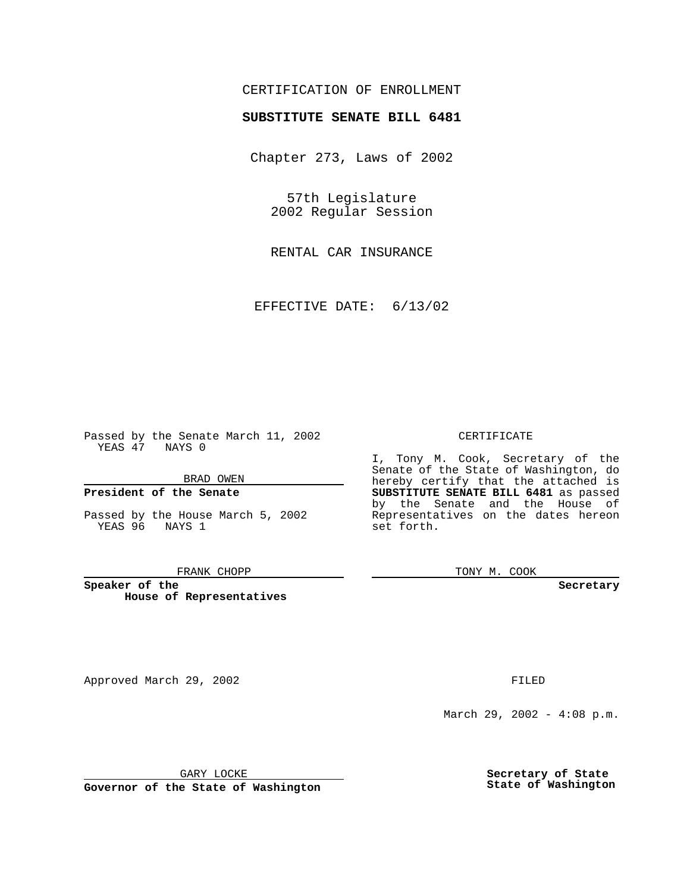## CERTIFICATION OF ENROLLMENT

# **SUBSTITUTE SENATE BILL 6481**

Chapter 273, Laws of 2002

57th Legislature 2002 Regular Session

RENTAL CAR INSURANCE

EFFECTIVE DATE: 6/13/02

Passed by the Senate March 11, 2002 YEAS 47 NAYS 0

BRAD OWEN

## **President of the Senate**

Passed by the House March 5, 2002 YEAS 96 NAYS 1

#### FRANK CHOPP

**Speaker of the House of Representatives**

Approved March 29, 2002 **FILED** 

#### CERTIFICATE

I, Tony M. Cook, Secretary of the Senate of the State of Washington, do hereby certify that the attached is **SUBSTITUTE SENATE BILL 6481** as passed by the Senate and the House of Representatives on the dates hereon set forth.

TONY M. COOK

**Secretary**

March 29, 2002 - 4:08 p.m.

GARY LOCKE

**Governor of the State of Washington**

**Secretary of State State of Washington**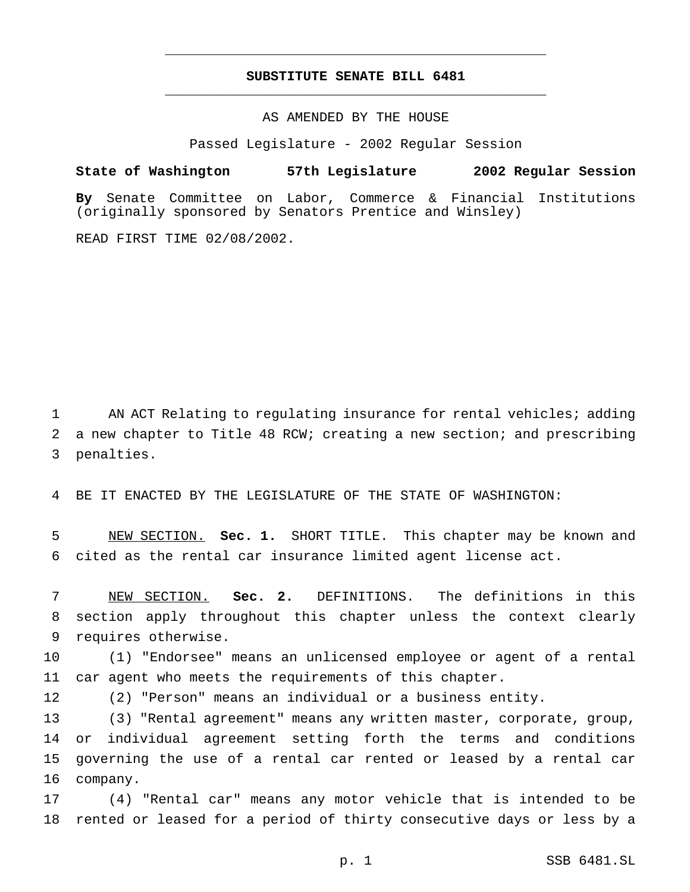## **SUBSTITUTE SENATE BILL 6481** \_\_\_\_\_\_\_\_\_\_\_\_\_\_\_\_\_\_\_\_\_\_\_\_\_\_\_\_\_\_\_\_\_\_\_\_\_\_\_\_\_\_\_\_\_\_\_

\_\_\_\_\_\_\_\_\_\_\_\_\_\_\_\_\_\_\_\_\_\_\_\_\_\_\_\_\_\_\_\_\_\_\_\_\_\_\_\_\_\_\_\_\_\_\_

## AS AMENDED BY THE HOUSE

Passed Legislature - 2002 Regular Session

### **State of Washington 57th Legislature 2002 Regular Session**

**By** Senate Committee on Labor, Commerce & Financial Institutions (originally sponsored by Senators Prentice and Winsley)

READ FIRST TIME 02/08/2002.

 AN ACT Relating to regulating insurance for rental vehicles; adding a new chapter to Title 48 RCW; creating a new section; and prescribing penalties.

BE IT ENACTED BY THE LEGISLATURE OF THE STATE OF WASHINGTON:

 NEW SECTION. **Sec. 1.** SHORT TITLE. This chapter may be known and cited as the rental car insurance limited agent license act.

 NEW SECTION. **Sec. 2.** DEFINITIONS. The definitions in this section apply throughout this chapter unless the context clearly requires otherwise.

 (1) "Endorsee" means an unlicensed employee or agent of a rental car agent who meets the requirements of this chapter.

(2) "Person" means an individual or a business entity.

 (3) "Rental agreement" means any written master, corporate, group, or individual agreement setting forth the terms and conditions governing the use of a rental car rented or leased by a rental car company.

 (4) "Rental car" means any motor vehicle that is intended to be rented or leased for a period of thirty consecutive days or less by a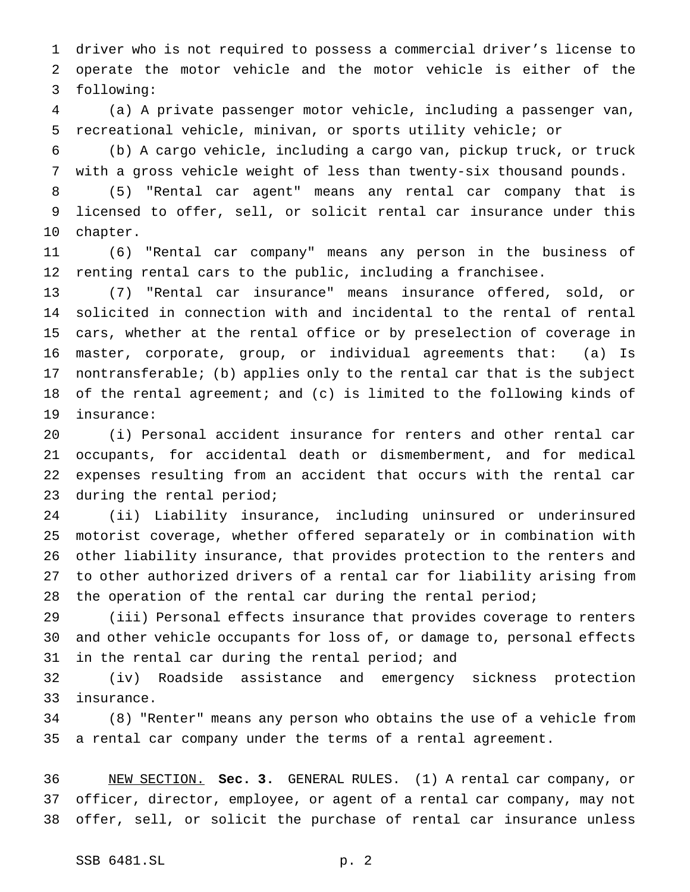driver who is not required to possess a commercial driver's license to operate the motor vehicle and the motor vehicle is either of the following:

 (a) A private passenger motor vehicle, including a passenger van, recreational vehicle, minivan, or sports utility vehicle; or

 (b) A cargo vehicle, including a cargo van, pickup truck, or truck with a gross vehicle weight of less than twenty-six thousand pounds.

 (5) "Rental car agent" means any rental car company that is licensed to offer, sell, or solicit rental car insurance under this chapter.

 (6) "Rental car company" means any person in the business of renting rental cars to the public, including a franchisee.

 (7) "Rental car insurance" means insurance offered, sold, or solicited in connection with and incidental to the rental of rental cars, whether at the rental office or by preselection of coverage in master, corporate, group, or individual agreements that: (a) Is nontransferable; (b) applies only to the rental car that is the subject of the rental agreement; and (c) is limited to the following kinds of insurance:

 (i) Personal accident insurance for renters and other rental car occupants, for accidental death or dismemberment, and for medical expenses resulting from an accident that occurs with the rental car during the rental period;

 (ii) Liability insurance, including uninsured or underinsured motorist coverage, whether offered separately or in combination with other liability insurance, that provides protection to the renters and to other authorized drivers of a rental car for liability arising from 28 the operation of the rental car during the rental period;

 (iii) Personal effects insurance that provides coverage to renters and other vehicle occupants for loss of, or damage to, personal effects in the rental car during the rental period; and

 (iv) Roadside assistance and emergency sickness protection insurance.

 (8) "Renter" means any person who obtains the use of a vehicle from a rental car company under the terms of a rental agreement.

 NEW SECTION. **Sec. 3.** GENERAL RULES. (1) A rental car company, or officer, director, employee, or agent of a rental car company, may not offer, sell, or solicit the purchase of rental car insurance unless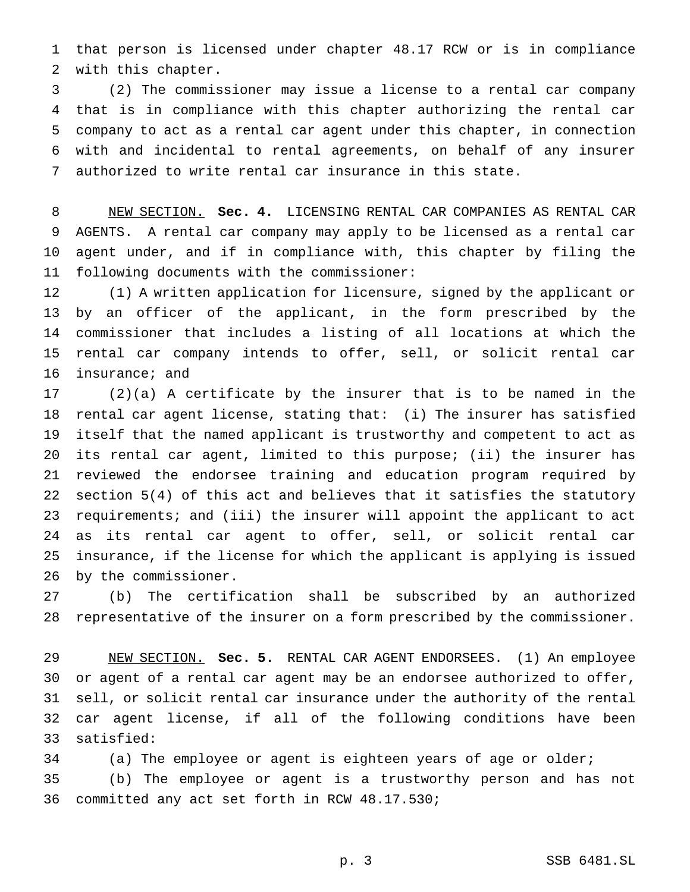that person is licensed under chapter 48.17 RCW or is in compliance with this chapter.

 (2) The commissioner may issue a license to a rental car company that is in compliance with this chapter authorizing the rental car company to act as a rental car agent under this chapter, in connection with and incidental to rental agreements, on behalf of any insurer authorized to write rental car insurance in this state.

 NEW SECTION. **Sec. 4.** LICENSING RENTAL CAR COMPANIES AS RENTAL CAR AGENTS. A rental car company may apply to be licensed as a rental car agent under, and if in compliance with, this chapter by filing the following documents with the commissioner:

 (1) A written application for licensure, signed by the applicant or by an officer of the applicant, in the form prescribed by the commissioner that includes a listing of all locations at which the rental car company intends to offer, sell, or solicit rental car insurance; and

 (2)(a) A certificate by the insurer that is to be named in the rental car agent license, stating that: (i) The insurer has satisfied itself that the named applicant is trustworthy and competent to act as its rental car agent, limited to this purpose; (ii) the insurer has reviewed the endorsee training and education program required by section 5(4) of this act and believes that it satisfies the statutory requirements; and (iii) the insurer will appoint the applicant to act as its rental car agent to offer, sell, or solicit rental car insurance, if the license for which the applicant is applying is issued by the commissioner.

 (b) The certification shall be subscribed by an authorized representative of the insurer on a form prescribed by the commissioner.

 NEW SECTION. **Sec. 5.** RENTAL CAR AGENT ENDORSEES. (1) An employee or agent of a rental car agent may be an endorsee authorized to offer, sell, or solicit rental car insurance under the authority of the rental car agent license, if all of the following conditions have been satisfied:

(a) The employee or agent is eighteen years of age or older;

 (b) The employee or agent is a trustworthy person and has not committed any act set forth in RCW 48.17.530;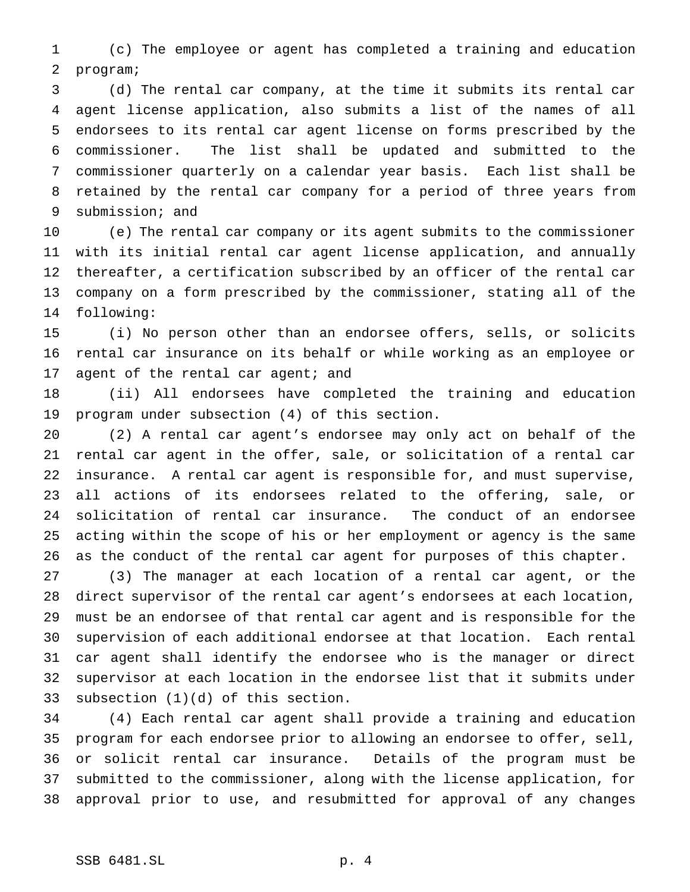(c) The employee or agent has completed a training and education program;

 (d) The rental car company, at the time it submits its rental car agent license application, also submits a list of the names of all endorsees to its rental car agent license on forms prescribed by the commissioner. The list shall be updated and submitted to the commissioner quarterly on a calendar year basis. Each list shall be retained by the rental car company for a period of three years from submission; and

 (e) The rental car company or its agent submits to the commissioner with its initial rental car agent license application, and annually thereafter, a certification subscribed by an officer of the rental car company on a form prescribed by the commissioner, stating all of the following:

 (i) No person other than an endorsee offers, sells, or solicits rental car insurance on its behalf or while working as an employee or 17 agent of the rental car agent; and

 (ii) All endorsees have completed the training and education program under subsection (4) of this section.

 (2) A rental car agent's endorsee may only act on behalf of the rental car agent in the offer, sale, or solicitation of a rental car insurance. A rental car agent is responsible for, and must supervise, all actions of its endorsees related to the offering, sale, or solicitation of rental car insurance. The conduct of an endorsee acting within the scope of his or her employment or agency is the same as the conduct of the rental car agent for purposes of this chapter.

 (3) The manager at each location of a rental car agent, or the direct supervisor of the rental car agent's endorsees at each location, must be an endorsee of that rental car agent and is responsible for the supervision of each additional endorsee at that location. Each rental car agent shall identify the endorsee who is the manager or direct supervisor at each location in the endorsee list that it submits under subsection (1)(d) of this section.

 (4) Each rental car agent shall provide a training and education program for each endorsee prior to allowing an endorsee to offer, sell, or solicit rental car insurance. Details of the program must be submitted to the commissioner, along with the license application, for approval prior to use, and resubmitted for approval of any changes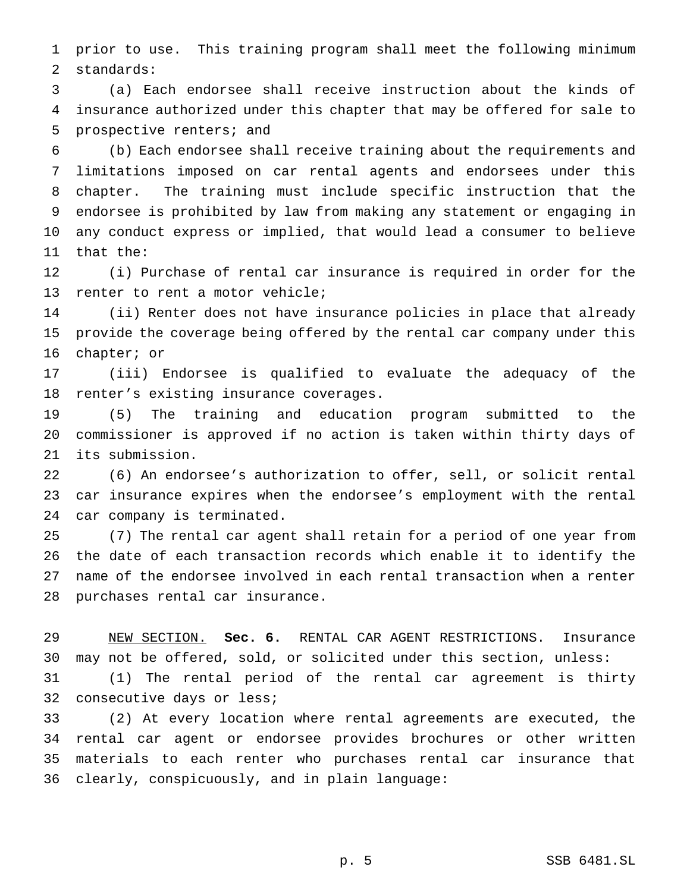prior to use. This training program shall meet the following minimum standards:

 (a) Each endorsee shall receive instruction about the kinds of insurance authorized under this chapter that may be offered for sale to prospective renters; and

 (b) Each endorsee shall receive training about the requirements and limitations imposed on car rental agents and endorsees under this chapter. The training must include specific instruction that the endorsee is prohibited by law from making any statement or engaging in any conduct express or implied, that would lead a consumer to believe that the:

 (i) Purchase of rental car insurance is required in order for the renter to rent a motor vehicle;

 (ii) Renter does not have insurance policies in place that already provide the coverage being offered by the rental car company under this chapter; or

 (iii) Endorsee is qualified to evaluate the adequacy of the renter's existing insurance coverages.

 (5) The training and education program submitted to the commissioner is approved if no action is taken within thirty days of its submission.

 (6) An endorsee's authorization to offer, sell, or solicit rental car insurance expires when the endorsee's employment with the rental car company is terminated.

 (7) The rental car agent shall retain for a period of one year from the date of each transaction records which enable it to identify the name of the endorsee involved in each rental transaction when a renter purchases rental car insurance.

 NEW SECTION. **Sec. 6.** RENTAL CAR AGENT RESTRICTIONS. Insurance may not be offered, sold, or solicited under this section, unless:

 (1) The rental period of the rental car agreement is thirty consecutive days or less;

 (2) At every location where rental agreements are executed, the rental car agent or endorsee provides brochures or other written materials to each renter who purchases rental car insurance that clearly, conspicuously, and in plain language: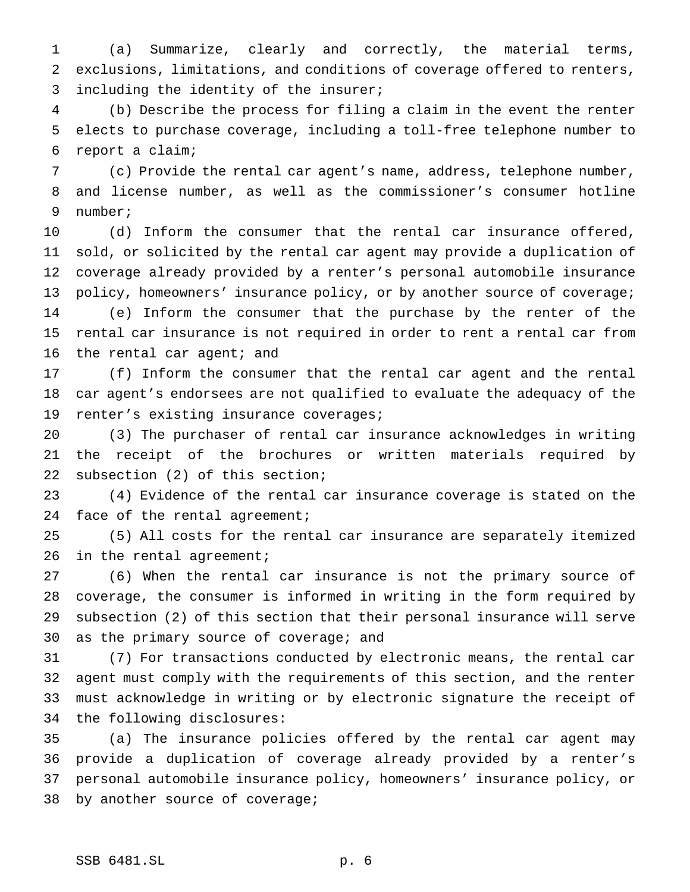(a) Summarize, clearly and correctly, the material terms, exclusions, limitations, and conditions of coverage offered to renters, including the identity of the insurer;

 (b) Describe the process for filing a claim in the event the renter elects to purchase coverage, including a toll-free telephone number to report a claim;

 (c) Provide the rental car agent's name, address, telephone number, and license number, as well as the commissioner's consumer hotline number;

 (d) Inform the consumer that the rental car insurance offered, sold, or solicited by the rental car agent may provide a duplication of coverage already provided by a renter's personal automobile insurance 13 policy, homeowners' insurance policy, or by another source of coverage; (e) Inform the consumer that the purchase by the renter of the rental car insurance is not required in order to rent a rental car from 16 the rental car agent; and

 (f) Inform the consumer that the rental car agent and the rental car agent's endorsees are not qualified to evaluate the adequacy of the renter's existing insurance coverages;

 (3) The purchaser of rental car insurance acknowledges in writing the receipt of the brochures or written materials required by subsection (2) of this section;

 (4) Evidence of the rental car insurance coverage is stated on the 24 face of the rental agreement;

 (5) All costs for the rental car insurance are separately itemized 26 in the rental agreement;

 (6) When the rental car insurance is not the primary source of coverage, the consumer is informed in writing in the form required by subsection (2) of this section that their personal insurance will serve as the primary source of coverage; and

 (7) For transactions conducted by electronic means, the rental car agent must comply with the requirements of this section, and the renter must acknowledge in writing or by electronic signature the receipt of the following disclosures:

 (a) The insurance policies offered by the rental car agent may provide a duplication of coverage already provided by a renter's personal automobile insurance policy, homeowners' insurance policy, or by another source of coverage;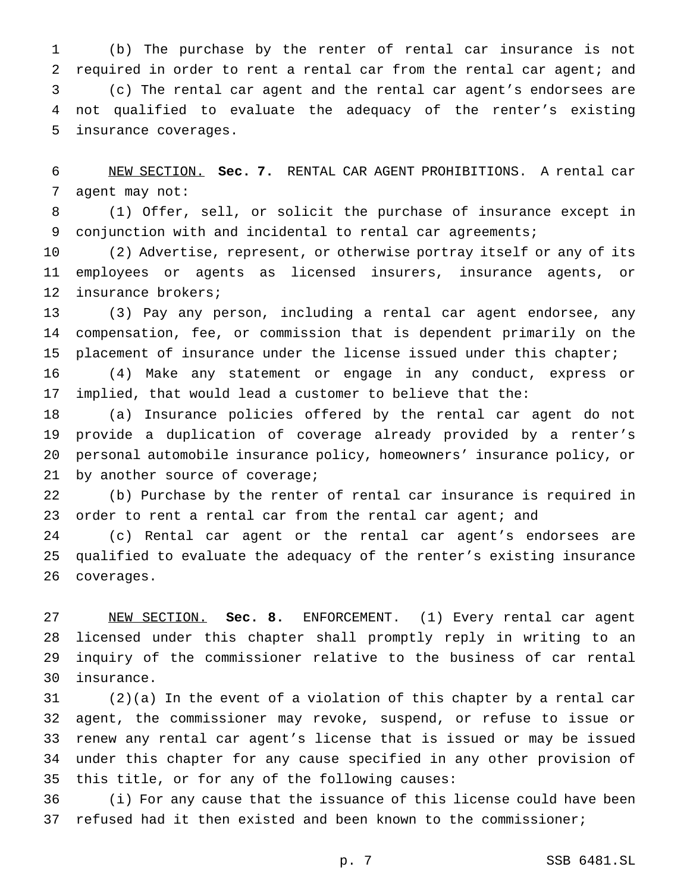(b) The purchase by the renter of rental car insurance is not required in order to rent a rental car from the rental car agent; and (c) The rental car agent and the rental car agent's endorsees are not qualified to evaluate the adequacy of the renter's existing insurance coverages.

 NEW SECTION. **Sec. 7.** RENTAL CAR AGENT PROHIBITIONS. A rental car agent may not:

 (1) Offer, sell, or solicit the purchase of insurance except in conjunction with and incidental to rental car agreements;

 (2) Advertise, represent, or otherwise portray itself or any of its employees or agents as licensed insurers, insurance agents, or insurance brokers;

 (3) Pay any person, including a rental car agent endorsee, any compensation, fee, or commission that is dependent primarily on the placement of insurance under the license issued under this chapter;

 (4) Make any statement or engage in any conduct, express or implied, that would lead a customer to believe that the:

 (a) Insurance policies offered by the rental car agent do not provide a duplication of coverage already provided by a renter's personal automobile insurance policy, homeowners' insurance policy, or by another source of coverage;

 (b) Purchase by the renter of rental car insurance is required in 23 order to rent a rental car from the rental car agent; and

 (c) Rental car agent or the rental car agent's endorsees are qualified to evaluate the adequacy of the renter's existing insurance coverages.

 NEW SECTION. **Sec. 8.** ENFORCEMENT. (1) Every rental car agent licensed under this chapter shall promptly reply in writing to an inquiry of the commissioner relative to the business of car rental insurance.

 (2)(a) In the event of a violation of this chapter by a rental car agent, the commissioner may revoke, suspend, or refuse to issue or renew any rental car agent's license that is issued or may be issued under this chapter for any cause specified in any other provision of this title, or for any of the following causes:

 (i) For any cause that the issuance of this license could have been refused had it then existed and been known to the commissioner;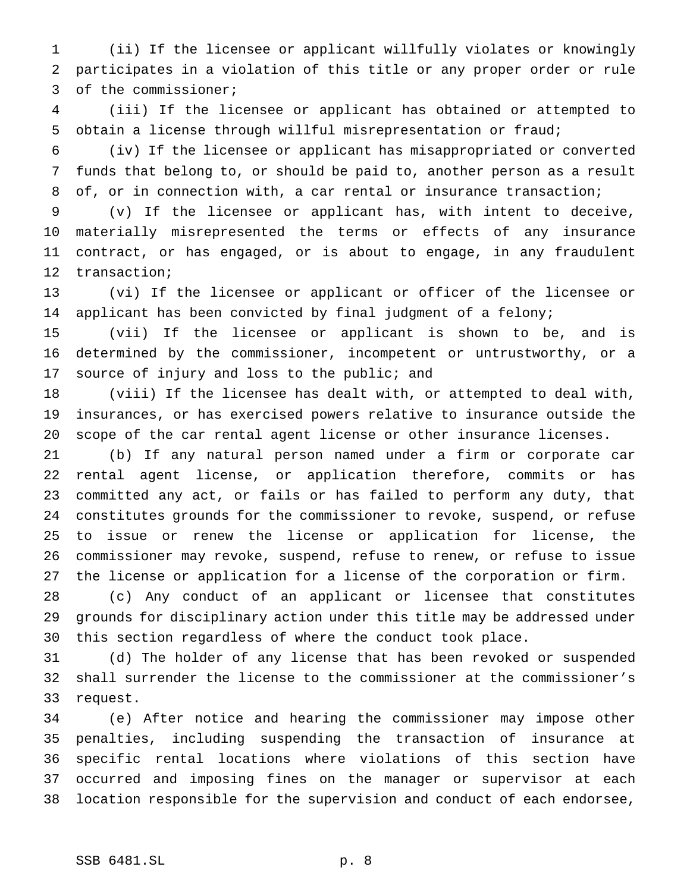(ii) If the licensee or applicant willfully violates or knowingly participates in a violation of this title or any proper order or rule of the commissioner;

 (iii) If the licensee or applicant has obtained or attempted to obtain a license through willful misrepresentation or fraud;

 (iv) If the licensee or applicant has misappropriated or converted funds that belong to, or should be paid to, another person as a result of, or in connection with, a car rental or insurance transaction;

 (v) If the licensee or applicant has, with intent to deceive, materially misrepresented the terms or effects of any insurance contract, or has engaged, or is about to engage, in any fraudulent transaction;

 (vi) If the licensee or applicant or officer of the licensee or applicant has been convicted by final judgment of a felony;

 (vii) If the licensee or applicant is shown to be, and is determined by the commissioner, incompetent or untrustworthy, or a source of injury and loss to the public; and

 (viii) If the licensee has dealt with, or attempted to deal with, insurances, or has exercised powers relative to insurance outside the scope of the car rental agent license or other insurance licenses.

 (b) If any natural person named under a firm or corporate car rental agent license, or application therefore, commits or has committed any act, or fails or has failed to perform any duty, that constitutes grounds for the commissioner to revoke, suspend, or refuse to issue or renew the license or application for license, the commissioner may revoke, suspend, refuse to renew, or refuse to issue the license or application for a license of the corporation or firm.

 (c) Any conduct of an applicant or licensee that constitutes grounds for disciplinary action under this title may be addressed under this section regardless of where the conduct took place.

 (d) The holder of any license that has been revoked or suspended shall surrender the license to the commissioner at the commissioner's request.

 (e) After notice and hearing the commissioner may impose other penalties, including suspending the transaction of insurance at specific rental locations where violations of this section have occurred and imposing fines on the manager or supervisor at each location responsible for the supervision and conduct of each endorsee,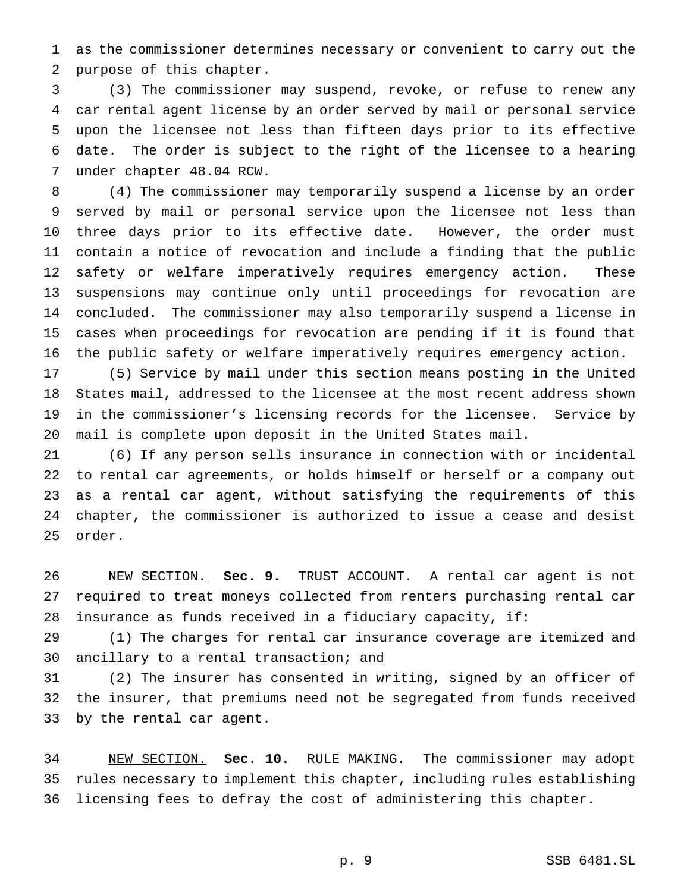as the commissioner determines necessary or convenient to carry out the purpose of this chapter.

 (3) The commissioner may suspend, revoke, or refuse to renew any car rental agent license by an order served by mail or personal service upon the licensee not less than fifteen days prior to its effective date. The order is subject to the right of the licensee to a hearing under chapter 48.04 RCW.

 (4) The commissioner may temporarily suspend a license by an order served by mail or personal service upon the licensee not less than three days prior to its effective date. However, the order must contain a notice of revocation and include a finding that the public safety or welfare imperatively requires emergency action. These suspensions may continue only until proceedings for revocation are concluded. The commissioner may also temporarily suspend a license in cases when proceedings for revocation are pending if it is found that the public safety or welfare imperatively requires emergency action.

 (5) Service by mail under this section means posting in the United States mail, addressed to the licensee at the most recent address shown in the commissioner's licensing records for the licensee. Service by mail is complete upon deposit in the United States mail.

 (6) If any person sells insurance in connection with or incidental to rental car agreements, or holds himself or herself or a company out as a rental car agent, without satisfying the requirements of this chapter, the commissioner is authorized to issue a cease and desist order.

 NEW SECTION. **Sec. 9.** TRUST ACCOUNT. A rental car agent is not required to treat moneys collected from renters purchasing rental car insurance as funds received in a fiduciary capacity, if:

 (1) The charges for rental car insurance coverage are itemized and ancillary to a rental transaction; and

 (2) The insurer has consented in writing, signed by an officer of the insurer, that premiums need not be segregated from funds received by the rental car agent.

 NEW SECTION. **Sec. 10.** RULE MAKING. The commissioner may adopt rules necessary to implement this chapter, including rules establishing licensing fees to defray the cost of administering this chapter.